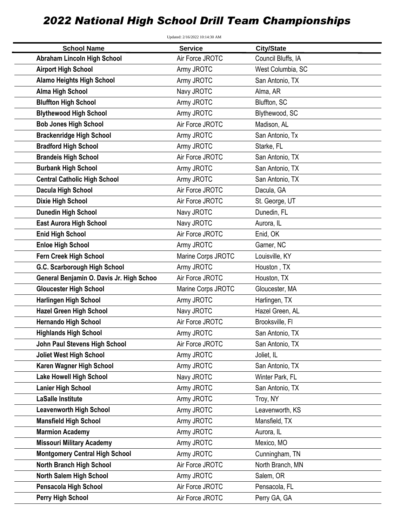## *2022 National High School Drill Team Championships*

| Updated: 2/16/2022 10:14:30 AM           |                    |                    |  |
|------------------------------------------|--------------------|--------------------|--|
| <b>School Name</b>                       | <b>Service</b>     | <b>City/State</b>  |  |
| <b>Abraham Lincoln High School</b>       | Air Force JROTC    | Council Bluffs, IA |  |
| <b>Airport High School</b>               | Army JROTC         | West Columbia, SC  |  |
| <b>Alamo Heights High School</b>         | Army JROTC         | San Antonio, TX    |  |
| <b>Alma High School</b>                  | Navy JROTC         | Alma, AR           |  |
| <b>Bluffton High School</b>              | Army JROTC         | Bluffton, SC       |  |
| <b>Blythewood High School</b>            | Army JROTC         | Blythewood, SC     |  |
| <b>Bob Jones High School</b>             | Air Force JROTC    | Madison, AL        |  |
| <b>Brackenridge High School</b>          | Army JROTC         | San Antonio, Tx    |  |
| <b>Bradford High School</b>              | Army JROTC         | Starke, FL         |  |
| <b>Brandeis High School</b>              | Air Force JROTC    | San Antonio, TX    |  |
| <b>Burbank High School</b>               | Army JROTC         | San Antonio, TX    |  |
| <b>Central Catholic High School</b>      | Army JROTC         | San Antonio, TX    |  |
| <b>Dacula High School</b>                | Air Force JROTC    | Dacula, GA         |  |
| <b>Dixie High School</b>                 | Air Force JROTC    | St. George, UT     |  |
| <b>Dunedin High School</b>               | Navy JROTC         | Dunedin, FL        |  |
| <b>East Aurora High School</b>           | Navy JROTC         | Aurora, IL         |  |
| <b>Enid High School</b>                  | Air Force JROTC    | Enid, OK           |  |
| <b>Enloe High School</b>                 | Army JROTC         | Garner, NC         |  |
| Fern Creek High School                   | Marine Corps JROTC | Louisville, KY     |  |
| G.C. Scarborough High School             | Army JROTC         | Houston, TX        |  |
| General Benjamin O. Davis Jr. High Schoo | Air Force JROTC    | Houston, TX        |  |
| <b>Gloucester High School</b>            | Marine Corps JROTC | Gloucester, MA     |  |
| <b>Harlingen High School</b>             | Army JROTC         | Harlingen, TX      |  |
| <b>Hazel Green High School</b>           | Navy JROTC         | Hazel Green, AL    |  |
| <b>Hernando High School</b>              | Air Force JROTC    | Brooksville, Fl    |  |
| <b>Highlands High School</b>             | Army JROTC         | San Antonio, TX    |  |
| John Paul Stevens High School            | Air Force JROTC    | San Antonio, TX    |  |
| <b>Joliet West High School</b>           | Army JROTC         | Joliet, IL         |  |
| Karen Wagner High School                 | Army JROTC         | San Antonio, TX    |  |
| <b>Lake Howell High School</b>           | Navy JROTC         | Winter Park, FL    |  |
| <b>Lanier High School</b>                | Army JROTC         | San Antonio, TX    |  |
| <b>LaSalle Institute</b>                 | Army JROTC         | Troy, NY           |  |
| <b>Leavenworth High School</b>           | Army JROTC         | Leavenworth, KS    |  |
| <b>Mansfield High School</b>             | Army JROTC         | Mansfield, TX      |  |
| <b>Marmion Academy</b>                   | Army JROTC         | Aurora, IL         |  |
| <b>Missouri Military Academy</b>         | Army JROTC         | Mexico, MO         |  |
| <b>Montgomery Central High School</b>    | Army JROTC         | Cunningham, TN     |  |
| <b>North Branch High School</b>          | Air Force JROTC    | North Branch, MN   |  |
| <b>North Salem High School</b>           | Army JROTC         | Salem, OR          |  |
| <b>Pensacola High School</b>             | Air Force JROTC    | Pensacola, FL      |  |
| <b>Perry High School</b>                 | Air Force JROTC    | Perry GA, GA       |  |